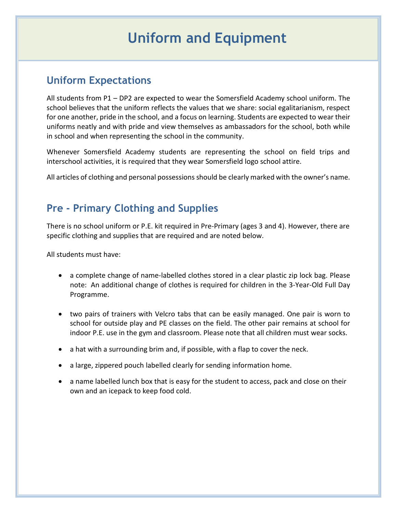# **Uniform and Equipment**

# **Uniform Expectations**

All students from P1 – DP2 are expected to wear the Somersfield Academy school uniform. The school believes that the uniform reflects the values that we share: social egalitarianism, respect for one another, pride in the school, and a focus on learning. Students are expected to wear their uniforms neatly and with pride and view themselves as ambassadors for the school, both while in school and when representing the school in the community.

Whenever Somersfield Academy students are representing the school on field trips and interschool activities, it is required that they wear Somersfield logo school attire.

All articles of clothing and personal possessions should be clearly marked with the owner's name.

# **Pre - Primary Clothing and Supplies**

There is no school uniform or P.E. kit required in Pre-Primary (ages 3 and 4). However, there are specific clothing and supplies that are required and are noted below.

All students must have:

- a complete change of name-labelled clothes stored in a clear plastic zip lock bag. Please note: An additional change of clothes is required for children in the 3-Year-Old Full Day Programme.
- two pairs of trainers with Velcro tabs that can be easily managed. One pair is worn to school for outside play and PE classes on the field. The other pair remains at school for indoor P.E. use in the gym and classroom. Please note that all children must wear socks.
- a hat with a surrounding brim and, if possible, with a flap to cover the neck.
- a large, zippered pouch labelled clearly for sending information home.
- a name labelled lunch box that is easy for the student to access, pack and close on their own and an icepack to keep food cold.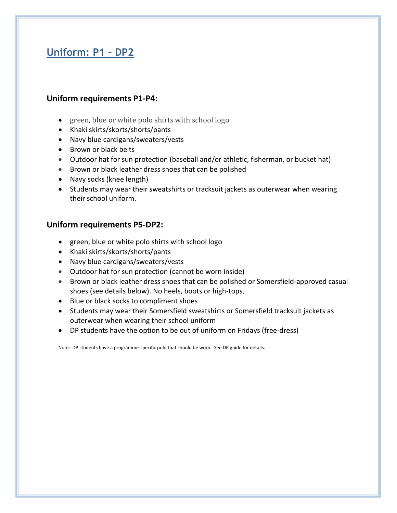# **Uniform: P1 – DP2**

### **Uniform requirements P1-P4:**

- green, blue or white polo shirts with school logo
- Khaki skirts/skorts/shorts/pants
- Navy blue cardigans/sweaters/vests
- Brown or black belts
- Outdoor hat for sun protection (baseball and/or athletic, fisherman, or bucket hat)
- Brown or black leather dress shoes that can be polished
- Navy socks (knee length)
- Students may wear their sweatshirts or tracksuit jackets as outerwear when wearing their school uniform.

### **Uniform requirements P5-DP2:**

- green, blue or white polo shirts with school logo
- Khaki skirts/skorts/shorts/pants
- Navy blue cardigans/sweaters/vests
- Outdoor hat for sun protection (cannot be worn inside)
- Brown or black leather dress shoes that can be polished or Somersfield-approved casual shoes (see details below). No heels, boots or high-tops.
- Blue or black socks to compliment shoes
- Students may wear their Somersfield sweatshirts or Somersfield tracksuit jackets as outerwear when wearing their school uniform
- DP students have the option to be out of uniform on Fridays (free-dress)

Note: DP students have a programme-specific polo that should be worn. See DP guide for details.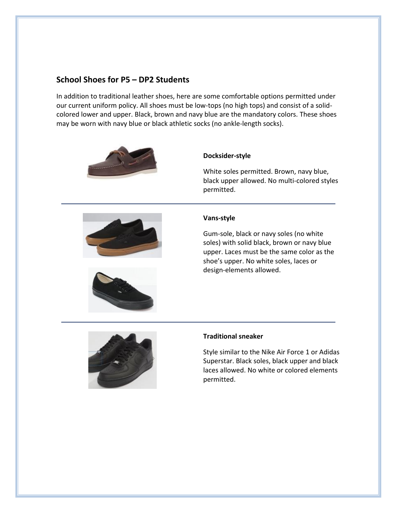### **School Shoes for P5 – DP2 Students**

In addition to traditional leather shoes, here are some comfortable options permitted under our current uniform policy. All shoes must be low-tops (no high tops) and consist of a solidcolored lower and upper. Black, brown and navy blue are the mandatory colors. These shoes may be worn with navy blue or black athletic socks (no ankle-length socks).





#### **Docksider-style**

White soles permitted. Brown, navy blue, black upper allowed. No multi-colored styles permitted.

#### **Vans-style**

Gum-sole, black or navy soles (no white soles) with solid black, brown or navy blue upper. Laces must be the same color as the shoe's upper. No white soles, laces or design-elements allowed.



#### **Traditional sneaker**

Style similar to the Nike Air Force 1 or Adidas Superstar. Black soles, black upper and black laces allowed. No white or colored elements permitted.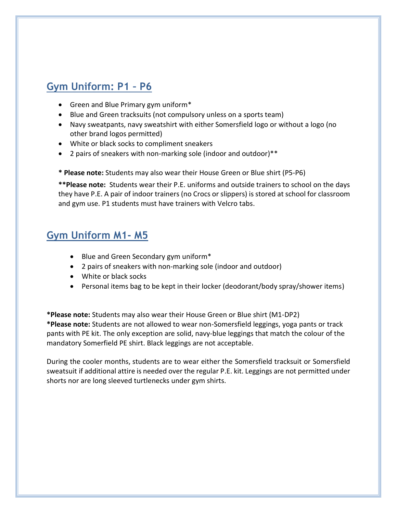# **Gym Uniform: P1 – P6**

- Green and Blue Primary gym uniform<sup>\*</sup>
- Blue and Green tracksuits (not compulsory unless on a sports team)
- Navy sweatpants, navy sweatshirt with either Somersfield logo or without a logo (no other brand logos permitted)
- White or black socks to compliment sneakers
- 2 pairs of sneakers with non-marking sole (indoor and outdoor)\*\*
- **\* Please note:** Students may also wear their House Green or Blue shirt (P5-P6)

**\*\*Please note:** Students wear their P.E. uniforms and outside trainers to school on the days they have P.E. A pair of indoor trainers (no Crocs or slippers) is stored at school for classroom and gym use. P1 students must have trainers with Velcro tabs.

### **Gym Uniform M1- M5**

- Blue and Green Secondary gym uniform\*
- 2 pairs of sneakers with non-marking sole (indoor and outdoor)
- White or black socks
- Personal items bag to be kept in their locker (deodorant/body spray/shower items)

**\*Please note:** Students may also wear their House Green or Blue shirt (M1-DP2) **\*Please note:** Students are not allowed to wear non-Somersfield leggings, yoga pants or track pants with PE kit. The only exception are solid, navy-blue leggings that match the colour of the mandatory Somerfield PE shirt. Black leggings are not acceptable.

During the cooler months, students are to wear either the Somersfield tracksuit or Somersfield sweatsuit if additional attire is needed over the regular P.E. kit. Leggings are not permitted under shorts nor are long sleeved turtlenecks under gym shirts.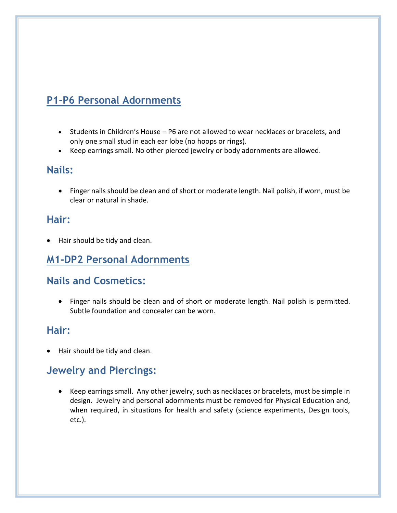# **P1-P6 Personal Adornments**

- Students in Children's House P6 are not allowed to wear necklaces or bracelets, and only one small stud in each ear lobe (no hoops or rings).
- Keep earrings small. No other pierced jewelry or body adornments are allowed.

### **Nails:**

 Finger nails should be clean and of short or moderate length. Nail polish, if worn, must be clear or natural in shade.

### **Hair:**

Hair should be tidy and clean.

### **M1-DP2 Personal Adornments**

### **Nails and Cosmetics:**

 Finger nails should be clean and of short or moderate length. Nail polish is permitted. Subtle foundation and concealer can be worn.

### **Hair:**

Hair should be tidy and clean.

### **Jewelry and Piercings:**

 Keep earrings small. Any other jewelry, such as necklaces or bracelets, must be simple in design. Jewelry and personal adornments must be removed for Physical Education and, when required, in situations for health and safety (science experiments, Design tools, etc.).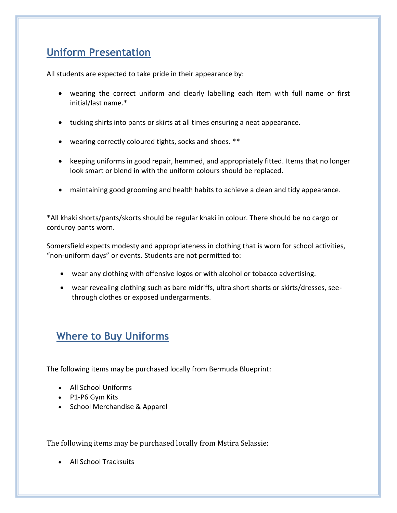# **Uniform Presentation**

All students are expected to take pride in their appearance by:

- wearing the correct uniform and clearly labelling each item with full name or first initial/last name.\*
- tucking shirts into pants or skirts at all times ensuring a neat appearance.
- wearing correctly coloured tights, socks and shoes. \*\*
- keeping uniforms in good repair, hemmed, and appropriately fitted. Items that no longer look smart or blend in with the uniform colours should be replaced.
- maintaining good grooming and health habits to achieve a clean and tidy appearance.

\*All khaki shorts/pants/skorts should be regular khaki in colour. There should be no cargo or corduroy pants worn.

Somersfield expects modesty and appropriateness in clothing that is worn for school activities, "non-uniform days" or events. Students are not permitted to:

- wear any clothing with offensive logos or with alcohol or tobacco advertising.
- wear revealing clothing such as bare midriffs, ultra short shorts or skirts/dresses, seethrough clothes or exposed undergarments.

# **Where to Buy Uniforms**

The following items may be purchased locally from Bermuda Blueprint:

- All School Uniforms
- P1-P6 Gym Kits
- School Merchandise & Apparel

The following items may be purchased locally from Mstira Selassie:

All School Tracksuits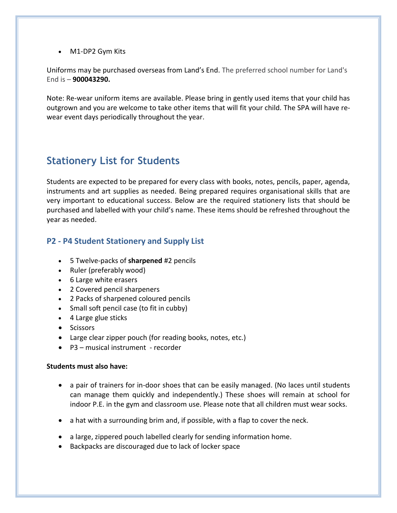M1-DP2 Gym Kits

Uniforms may be purchased overseas from Land's End. The preferred school number for Land's End is – **900043290.**

Note: Re-wear uniform items are available. Please bring in gently used items that your child has outgrown and you are welcome to take other items that will fit your child. The SPA will have rewear event days periodically throughout the year.

# **Stationery List for Students**

Students are expected to be prepared for every class with books, notes, pencils, paper, agenda, instruments and art supplies as needed. Being prepared requires organisational skills that are very important to educational success. Below are the required stationery lists that should be purchased and labelled with your child's name. These items should be refreshed throughout the year as needed.

### **P2 - P4 Student Stationery and Supply List**

- 5 Twelve-packs of **sharpened** #2 pencils
- Ruler (preferably wood)
- 6 Large white erasers
- 2 Covered pencil sharpeners
- 2 Packs of sharpened coloured pencils
- Small soft pencil case (to fit in cubby)
- 4 Large glue sticks
- Scissors
- Large clear zipper pouch (for reading books, notes, etc.)
- P3 musical instrument recorder

#### **Students must also have:**

- a pair of trainers for in-door shoes that can be easily managed. (No laces until students can manage them quickly and independently.) These shoes will remain at school for indoor P.E. in the gym and classroom use. Please note that all children must wear socks.
- a hat with a surrounding brim and, if possible, with a flap to cover the neck.
- a large, zippered pouch labelled clearly for sending information home.
- Backpacks are discouraged due to lack of locker space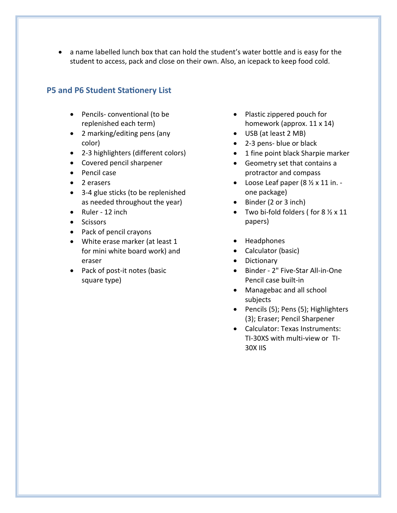a name labelled lunch box that can hold the student's water bottle and is easy for the student to access, pack and close on their own. Also, an icepack to keep food cold.

### **P5 and P6 Student Stationery List**

- Pencils- conventional (to be replenished each term)
- 2 marking/editing pens (any color)
- 2-3 highlighters (different colors)
- Covered pencil sharpener
- Pencil case
- 2 erasers
- 3-4 glue sticks (to be replenished as needed throughout the year)
- Ruler 12 inch
- Scissors
- Pack of pencil crayons
- White erase marker (at least 1 for mini white board work) and eraser
- Pack of post-it notes (basic square type)
- Plastic zippered pouch for homework (approx. 11 x 14)
- USB (at least 2 MB)
- 2-3 pens- blue or black
- 1 fine point black Sharpie marker
- Geometry set that contains a protractor and compass
- Loose Leaf paper  $(8 \frac{1}{2} \times 11)$  in. one package)
- Binder (2 or 3 inch)
- Two bi-fold folders ( for  $8\frac{1}{2} \times 11$ papers)
- Headphones
- Calculator (basic)
- Dictionary
- Binder 2" Five-Star All-in-One Pencil case built-in
- Managebac and all school subjects
- Pencils (5); Pens (5); Highlighters (3); Eraser; Pencil Sharpener
- Calculator: Texas Instruments: TI-30XS with multi-view or TI-30X IIS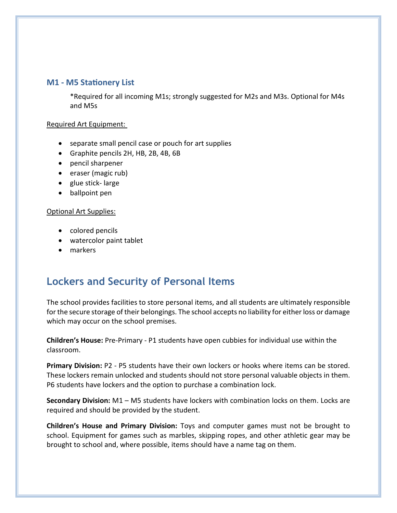#### **M1 - M5 Stationery List**

\*Required for all incoming M1s; strongly suggested for M2s and M3s. Optional for M4s and M5s

#### Required Art Equipment:

- separate small pencil case or pouch for art supplies
- Graphite pencils 2H, HB, 2B, 4B, 6B
- pencil sharpener
- eraser (magic rub)
- glue stick-large
- ballpoint pen

#### Optional Art Supplies:

- colored pencils
- watercolor paint tablet
- markers

# **Lockers and Security of Personal Items**

The school provides facilities to store personal items, and all students are ultimately responsible for the secure storage of their belongings. The school accepts no liability for either loss or damage which may occur on the school premises.

**Children's House:** Pre-Primary - P1 students have open cubbies for individual use within the classroom.

**Primary Division:** P2 - P5 students have their own lockers or hooks where items can be stored. These lockers remain unlocked and students should not store personal valuable objects in them. P6 students have lockers and the option to purchase a combination lock.

**Secondary Division:** M1 – M5 students have lockers with combination locks on them. Locks are required and should be provided by the student.

**Children's House and Primary Division:** Toys and computer games must not be brought to school. Equipment for games such as marbles, skipping ropes, and other athletic gear may be brought to school and, where possible, items should have a name tag on them.